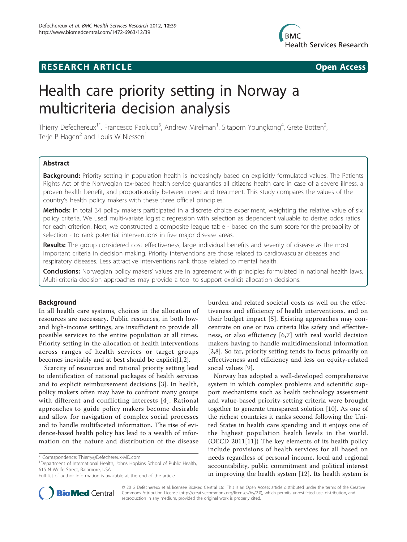# **RESEARCH ARTICLE Example 2018 12:30 THE Open Access**



# Health care priority setting in Norway a multicriteria decision analysis

Thierry Defechereux<sup>1\*</sup>, Francesco Paolucci<sup>3</sup>, Andrew Mirelman<sup>1</sup>, Sitaporn Youngkong<sup>4</sup>, Grete Botten<sup>2</sup> , Terie P Hagen<sup>2</sup> and Louis W Niessen<sup>1</sup>

# Abstract

Background: Priority setting in population health is increasingly based on explicitly formulated values. The Patients Rights Act of the Norwegian tax-based health service guaranties all citizens health care in case of a severe illness, a proven health benefit, and proportionality between need and treatment. This study compares the values of the country's health policy makers with these three official principles.

Methods: In total 34 policy makers participated in a discrete choice experiment, weighting the relative value of six policy criteria. We used multi-variate logistic regression with selection as dependent valuable to derive odds ratios for each criterion. Next, we constructed a composite league table - based on the sum score for the probability of selection - to rank potential interventions in five major disease areas.

Results: The group considered cost effectiveness, large individual benefits and severity of disease as the most important criteria in decision making. Priority interventions are those related to cardiovascular diseases and respiratory diseases. Less attractive interventions rank those related to mental health.

**Conclusions:** Norwegian policy makers' values are in agreement with principles formulated in national health laws. Multi-criteria decision approaches may provide a tool to support explicit allocation decisions.

# Background

In all health care systems, choices in the allocation of resources are necessary. Public resources, in both lowand high-income settings, are insufficient to provide all possible services to the entire population at all times. Priority setting in the allocation of health interventions across ranges of health services or target groups becomes inevitably and at best should be explicit[[1](#page-5-0),[2](#page-5-0)].

Scarcity of resources and rational priority setting lead to identification of national packages of health services and to explicit reimbursement decisions [[3\]](#page-5-0). In health, policy makers often may have to confront many groups with different and conflicting interests [[4](#page-5-0)]. Rational approaches to guide policy makers become desirable and allow for navigation of complex social processes and to handle multifaceted information. The rise of evidence-based health policy has lead to a wealth of information on the nature and distribution of the disease

<sup>1</sup>Department of International Health, Johns Hopkins School of Public Health, 615 N Wolfe Street, Baltimore, USA

burden and related societal costs as well on the effectiveness and efficiency of health interventions, and on their budget impact [[5](#page-5-0)]. Existing approaches may concentrate on one or two criteria like safety and effectiveness, or also efficiency [[6,7\]](#page-5-0) with real world decision makers having to handle multidimensional information [[2,8](#page-5-0)]. So far, priority setting tends to focus primarily on effectiveness and efficiency and less on equity-related social values [[9\]](#page-5-0).

Norway has adopted a well-developed comprehensive system in which complex problems and scientific support mechanisms such as health technology assessment and value-based priority-setting criteria were brought together to generate transparent solution [\[10\]](#page-6-0). As one of the richest countries it ranks second following the United States in health care spending and it enjoys one of the highest population health levels in the world. (OECD 2011[[11](#page-6-0)]) The key elements of its health policy include provisions of health services for all based on needs regardless of personal income, local and regional accountability, public commitment and political interest in improving the health system [\[12](#page-6-0)]. Its health system is



© 2012 Defechereux et al; licensee BioMed Central Ltd. This is an Open Access article distributed under the terms of the Creative Commons Attribution License [\(http://creativecommons.org/licenses/by/2.0](http://creativecommons.org/licenses/by/2.0)), which permits unrestricted use, distribution, and reproduction in any medium, provided the original work is properly cited.

<sup>\*</sup> Correspondence: [Thierry@Defechereux-MD.com](mailto:Thierry@Defechereux-MD.com)

Full list of author information is available at the end of the article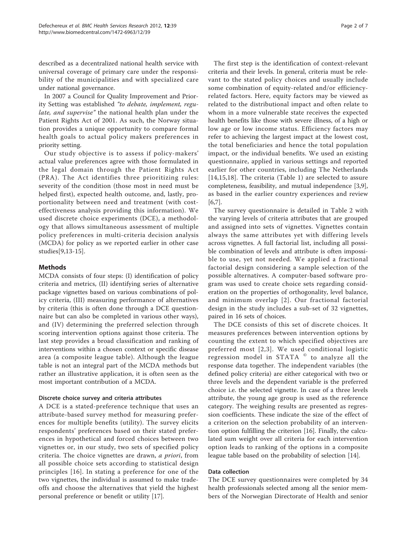described as a decentralized national health service with universal coverage of primary care under the responsibility of the municipalities and with specialized care under national governance.

In 2007 a Council for Quality Improvement and Priority Setting was established "to debate, implement, regulate, and supervise" the national health plan under the Patient Rights Act of 2001. As such, the Norway situation provides a unique opportunity to compare formal health goals to actual policy makers preferences in priority setting.

Our study objective is to assess if policy-makers' actual value preferences agree with those formulated in the legal domain through the Patient Rights Act (PRA). The Act identifies three prioritizing rules: severity of the condition (those most in need must be helped first), expected health outcome, and, lastly, proportionality between need and treatment (with costeffectiveness analysis providing this information). We used discrete choice experiments (DCE), a methodology that allows simultaneous assessment of multiple policy preferences in multi-criteria decision analysis (MCDA) for policy as we reported earlier in other case studies[[9,](#page-5-0)[13-15](#page-6-0)].

# Methods

MCDA consists of four steps: (I) identification of policy criteria and metrics, (II) identifying series of alternative package vignettes based on various combinations of policy criteria, (III) measuring performance of alternatives by criteria (this is often done through a DCE questionnaire but can also be completed in various other ways), and (IV) determining the preferred selection through scoring intervention options against those criteria. The last step provides a broad classification and ranking of interventions within a chosen context or specific disease area (a composite league table). Although the league table is not an integral part of the MCDA methods but rather an illustrative application, it is often seen as the most important contribution of a MCDA.

#### Discrete choice survey and criteria attributes

A DCE is a stated-preference technique that uses an attribute-based survey method for measuring preferences for multiple benefits (utility). The survey elicits respondents' preferences based on their stated preferences in hypothetical and forced choices between two vignettes or, in our study, two sets of specified policy criteria. The choice vignettes are drawn, a priori, from all possible choice sets according to statistical design principles [\[16\]](#page-6-0). In stating a preference for one of the two vignettes, the individual is assumed to make tradeoffs and choose the alternatives that yield the highest personal preference or benefit or utility [\[17\]](#page-6-0).

The first step is the identification of context-relevant criteria and their levels. In general, criteria must be relevant to the stated policy choices and usually include some combination of equity-related and/or efficiencyrelated factors. Here, equity factors may be viewed as related to the distributional impact and often relate to whom in a more vulnerable state receives the expected health benefits like those with severe illness, of a high or low age or low income status. Efficiency factors may refer to achieving the largest impact at the lowest cost, the total beneficiaries and hence the total population impact, or the individual benefits. We used an existing questionnaire, applied in various settings and reported earlier for other countries, including The Netherlands [[14,15](#page-6-0),[18\]](#page-6-0). The criteria (Table [1\)](#page-2-0) are selected to assure completeness, feasibility, and mutual independence [\[3,9](#page-5-0)], as based in the earlier country experiences and review [[6,7\]](#page-5-0).

The survey questionnaire is detailed in Table [2](#page-2-0) with the varying levels of criteria attributes that are grouped and assigned into sets of vignettes. Vignettes contain always the same attributes yet with differing levels across vignettes. A full factorial list, including all possible combination of levels and attribute is often impossible to use, yet not needed. We applied a fractional factorial design considering a sample selection of the possible alternatives. A computer-based software program was used to create choice sets regarding consideration on the properties of orthogonality, level balance, and minimum overlap [[2](#page-5-0)]. Our fractional factorial design in the study includes a sub-set of 32 vignettes, paired in 16 sets of choices.

The DCE consists of this set of discrete choices. It measures preferences between intervention options by counting the extent to which specified objectives are preferred most [[2,3\]](#page-5-0). We used conditional logistic regression model in STATA © to analyze all the response data together. The independent variables (the defined policy criteria) are either categorical with two or three levels and the dependent variable is the preferred choice i.e. the selected vignette. In case of a three levels attribute, the young age group is used as the reference category. The weighing results are presented as regression coefficients. These indicate the size of the effect of a criterion on the selection probability of an intervention option fulfilling the criterion [[16](#page-6-0)]. Finally, the calculated sum weight over all criteria for each intervention option leads to ranking of the options in a composite league table based on the probability of selection [\[14](#page-6-0)].

#### Data collection

The DCE survey questionnaires were completed by 34 health professionals selected among all the senior members of the Norwegian Directorate of Health and senior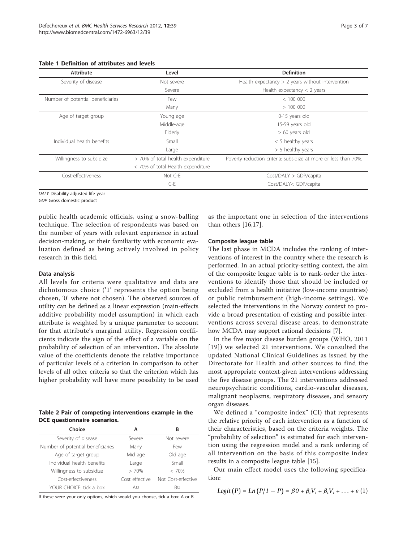| <b>Attribute</b><br>Level         |                                   | <b>Definition</b>                                               |  |  |  |  |
|-----------------------------------|-----------------------------------|-----------------------------------------------------------------|--|--|--|--|
| Severity of disease               | Not severe                        | Health expectancy $> 2$ years without intervention              |  |  |  |  |
|                                   | Severe                            | Health expectancy $<$ 2 years                                   |  |  |  |  |
| Number of potential beneficiaries | Few                               | < 100000                                                        |  |  |  |  |
|                                   | Many                              | >100000                                                         |  |  |  |  |
| Age of target group               | Young age                         | 0-15 years old                                                  |  |  |  |  |
|                                   | Middle-age                        | 15-59 years old                                                 |  |  |  |  |
|                                   | Elderly                           | > 60 years old                                                  |  |  |  |  |
| Individual health benefits        | Small                             | $<$ 5 healthy years                                             |  |  |  |  |
|                                   | Large                             | $> 5$ healthy years                                             |  |  |  |  |
| Willingness to subsidize          | > 70% of total health expenditure | Poverty reduction criteria: subsidize at more or less than 70%. |  |  |  |  |
|                                   | < 70% of total Health expenditure |                                                                 |  |  |  |  |
| Cost-effectiveness                | Not C-E                           | Cost/DALY > GDP/capita                                          |  |  |  |  |
|                                   | $C-E$                             | Cost/DALY< GDP/capita                                           |  |  |  |  |

# <span id="page-2-0"></span>Table 1 Definition of attributes and levels

DALY Disability-adjusted life year

GDP Gross domestic product

public health academic officials, using a snow-balling technique. The selection of respondents was based on the number of years with relevant experience in actual decision-making, or their familiarity with economic evaluation defined as being actively involved in policy research in this field.

#### Data analysis

All levels for criteria were qualitative and data are dichotomous choice ('1' represents the option being chosen, '0' where not chosen). The observed sources of utility can be defined as a linear expression (main-effects additive probability model assumption) in which each attribute is weighted by a unique parameter to account for that attribute's marginal utility. Regression coefficients indicate the sign of the effect of a variable on the probability of selection of an intervention. The absolute value of the coefficients denote the relative importance of particular levels of a criterion in comparison to other levels of all other criteria so that the criterion which has higher probability will have more possibility to be used

Table 2 Pair of competing interventions example in the DCE questionnaire scenarios.

| Choice                            | А              | R                  |  |  |  |
|-----------------------------------|----------------|--------------------|--|--|--|
| Severity of disease               | Severe         | Not severe         |  |  |  |
| Number of potential beneficiaries | Many           | Few                |  |  |  |
| Age of target group               | Mid age        | Old age            |  |  |  |
| Individual health benefits        | Large          | Small              |  |  |  |
| Willingness to subsidize          | > 70%          | < 70%              |  |  |  |
| Cost-effectiveness                | Cost effective | Not Cost-effective |  |  |  |
| YOUR CHOICE: tick a box           | AΠ             | R⊡                 |  |  |  |

If these were your only options, which would you choose, tick a box: A or B

as the important one in selection of the interventions than others [[16,17\]](#page-6-0).

#### Composite league table

The last phase in MCDA includes the ranking of interventions of interest in the country where the research is performed. In an actual priority-setting context, the aim of the composite league table is to rank-order the interventions to identify those that should be included or excluded from a health initiative (low-income countries) or public reimbursement (high-income settings). We selected the interventions in the Norway context to provide a broad presentation of existing and possible interventions across several disease areas, to demonstrate how MCDA may support rational decisions [[7](#page-5-0)].

In the five major disease burden groups (WHO, 2011 [[19\]](#page-6-0)) we selected 21 interventions. We consulted the updated National Clinical Guidelines as issued by the Directorate for Health and other sources to find the most appropriate context-given interventions addressing the five disease groups. The 21 interventions addressed neuropsychiatric conditions, cardio-vascular diseases, malignant neoplasms, respiratory diseases, and sensory organ diseases.

We defined a "composite index" (CI) that represents the relative priority of each intervention as a function of their characteristics, based on the criteria weights. The "probability of selection" is estimated for each intervention using the regression model and a rank ordering of all intervention on the basis of this composite index results in a composite league table [\[15\]](#page-6-0).

Our main effect model uses the following specification:

$$
Logit(P) = Ln(P/1 - P) = \beta 0 + \beta_i V_i + \beta_i V_i + \dots + \varepsilon(1)
$$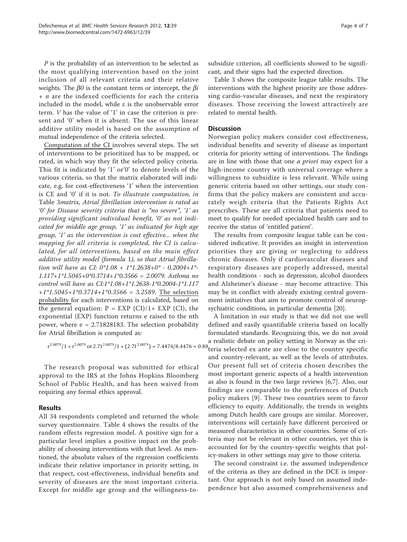P is the probability of an intervention to be selected as the most qualifying intervention based on the joint inclusion of all relevant criteria and their relative weights. The  $\beta_0$  is the constant term or intercept, the  $\beta_i$  $+ n$  are the indexed coefficients for each the criteria included in the model, while  $\varepsilon$  is the unobservable error term. V has the value of '1' in case the criterion is present and '0' when it is absent. The use of this linear additive utility model is based on the assumption of mutual independence of the criteria selected.

Computation of the CI involves several steps. The set of interventions to be prioritized has to be mapped, or rated, in which way they fit the selected policy criteria. This fit is indicated by '1' or'0' to denote levels of the various criteria, so that the matrix elaborated will indicate, e.g. for cost-effectiveness '1' when the intervention is CE and '0' if it is not. To illustrate computation, in Table [3](#page-4-0)matrix, Atrial fibrillation intervention is rated as '0' for Disease severity criteria that is "no severe", '1' as providing significant individual benefit, '0' as not indicated for middle age group, '1' as indicated for high age group, '1' as the intervention is cost effective... when the mapping for all criteria is completed, the CI is calculated, for all interventions, based on the main effect additive utility model (formula 1), so that Atrial fibrillation will have as CI:  $0*1.08 + 1*1.2638 + 0* - 0.2004 + 1* 1.117+1*1.5045+0*0.3714+1*0.3566 = 2.0079$ . Asthma no control will have as CI:1\*1.08+1\*1.2638-1\*0.2004-1\*1.117  $+1*1.5045+1*0.3714+1*0.3566 = 3.2589$ . The selection probability for each interventions is calculated, based on the general equation:  $P = EXP (CI)/1+ EXP (CI)$ , the exponential (EXP) function returns e raised to the nth power, where  $e = 2.71828183$ . The selection probability for Atrial fibrillation is computed as:

$$
\varepsilon^{2.0079}/1 + \varepsilon^{2.0079}
$$
 or  $2.71^{2.0079}/1 + (2.71^{2.0079}) = 7.4476/8.4476 = 0.88$ 

The research proposal was submitted for ethical approval to the IRS at the Johns Hopkins Bloomberg School of Public Health, and has been waived from requiring any formal ethics approval.

# Results

All 34 respondents completed and returned the whole survey questionnaire. Table [4](#page-5-0) shows the results of the random effects regression model. A positive sign for a particular level implies a positive impact on the probability of choosing interventions with that level. As mentioned, the absolute values of the regression coefficients indicate their relative importance in priority setting, in that respect, cost-effectiveness, individual benefits and severity of diseases are the most important criteria. Except for middle age group and the willingness-tosubsidize criterion, all coefficients showed to be significant, and their signs had the expected direction.

Table [3](#page-4-0) shows the composite league table results. The interventions with the highest priority are those addressing cardio-vascular diseases, and next the respiratory diseases. Those receiving the lowest attractively are related to mental health.

# **Discussion**

Norwegian policy makers consider cost effectiveness, individual benefits and severity of disease as important criteria for priority setting of interventions. The findings are in line with those that one *a priori* may expect for a high-income country with universal coverage where a willingness to subsidize is less relevant. While using generic criteria based on other settings, our study confirms that the policy makers are consistent and accurately weigh criteria that the Patients Rights Act prescribes. These are all criteria that patients need to meet to qualify for needed specialized health care and to receive the status of 'entitled patient'.

The results from composite league table can be considered indicative. It provides an insight in intervention priorities they are giving or neglecting to address chronic diseases. Only if cardiovascular diseases and respiratory diseases are properly addressed, mental health conditions - such as depression, alcohol disorders and Alzheimer's disease - may become attractive. This may be in conflict with already existing central government initiatives that aim to promote control of neuropsychiatric conditions, in particular dementia [[20\]](#page-6-0).

A limitation in our study is that we did not use well defined and easily quantifiable criteria based on locally formulated standards. Recognizing this, we do not avoid a realistic debate on policy setting in Norway as the cri- $88$ teria selected ex ante are close to the country specific and country-relevant, as well as the levels of attributes. Our present full set of criteria chosen describes the most important generic aspects of a health intervention as also is found in the two large reviews [[6](#page-5-0),[7\]](#page-5-0). Also, our findings are comparable to the preferences of Dutch policy makers [[9](#page-5-0)]. These two countries seem to favor efficiency to equity. Additionally, the trends in weights among Dutch health care groups are similar. Moreover, interventions will certainly have different perceived or measured characteristics in other countries. Some of criteria may not be relevant in other countries, yet this is accounted for by the country-specific weights that policy-makers in other settings may give to those criteria.

The second constraint i.e. the assumed independence of the criteria as they are defined in the DCE is important. Our approach is not only based on assumed independence but also assumed comprehensiveness and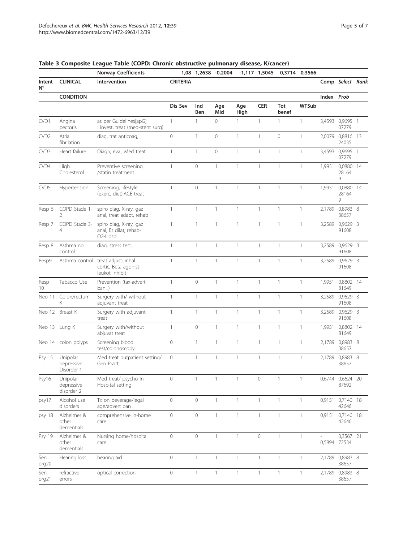**Intent**  $N^{\circ}$ 

 $CVD1$ 

 $CVD2$ 

 $CVD4$ 

 $\overline{\text{CVD5}}$ 

 $Resp 6$ 

 $Resp 7$ 

 $Resp 8$ 

Resp9

Resp 10

 $Neo<sub>11</sub>$ 

 $Neo<sub>12</sub>$ 

 $Neo<sub>13</sub>$ 

 $Neo<sub>14</sub>$ 

 $Psy 15$ 

 $P<sub>sy16</sub>$ 

 $psy17$ 

 $psy$  18

Sen org20

Sen org21 dementials

refractive errors

Psy 19 Alzheimer & other dementials

|                  |                                      | <b>Norway Coefficients</b>                                     |                 |                | 1,08 1,2638 -0,2004 |              | $-1,117$ 1,5045 |                | 0.3714 0.3566 |            |                           |  |
|------------------|--------------------------------------|----------------------------------------------------------------|-----------------|----------------|---------------------|--------------|-----------------|----------------|---------------|------------|---------------------------|--|
| Intent<br>N°     | <b>CLINICAL</b>                      | Intervention                                                   | <b>CRITERIA</b> |                |                     |              |                 |                |               |            | Comp Select Rank          |  |
|                  | <b>CONDITION</b>                     |                                                                |                 |                |                     |              |                 |                |               | Index Prob |                           |  |
|                  |                                      |                                                                | Dis Sev         | Ind<br>Ben     | Age<br>Mid          | Age<br>High  | <b>CER</b>      | Tot<br>benef   | <b>WTSub</b>  |            |                           |  |
| CVD1             | Angina<br>pectoris                   | as per Guidelines[apG]<br>: invest, treat (med-stent surg)     | $\mathbf{1}$    | $\mathbf{1}$   | $\circ$             | 1            | $\mathbf{1}$    | $\mathbf{1}$   | $\mathbf{1}$  | 3,4593     | 0,9695 1<br>07279         |  |
| CVD <sub>2</sub> | Atrial<br>fibrilation                | diag, trat anticoag,                                           | $\circ$         | $\mathbf{1}$   | $\overline{0}$      | $\mathbf{1}$ | $\mathbf{1}$    | $\circledcirc$ | $\mathbf{1}$  | 2,0079     | 0,8816 13<br>24035        |  |
| CVD3             | Heart failure                        | Diagn, eval, Med treat                                         | $\mathbf{1}$    | $\mathbf{1}$   | $\mathbf 0$         | $\mathbf{1}$ | 1               | $\mathbf{1}$   | $\mathbf{1}$  |            | 3,4593 0,9695 1<br>07279  |  |
| CVD4             | High<br>Cholesterol                  | Preventive screening<br>/statin treatment                      | $\mathbf{1}$    | $\overline{0}$ | $\mathbf{1}$        | $\mathbf{1}$ | $\mathbf{1}$    | $\mathbf{1}$   | $\mathbf{1}$  | 1,9951     | 0,0880 14<br>28164<br>9   |  |
| CVD5             | Hypertension                         | Screening, lifestyle<br>(exerc, diet), ACE treat               | $\mathbf{1}$    | $\overline{0}$ | $\mathbf{1}$        | $\mathbf{1}$ | $\mathbf{1}$    | $\mathbf{1}$   | $\mathbf{1}$  | 1,9951     | 0,0880 14<br>28164<br>9   |  |
| Resp 6           | COPD Stade 1-<br>2                   | spiro diag, X-ray, gaz<br>anal, treat adapt, rehab             | 1               | $\mathbf{1}$   | $\mathbf{1}$        | $\mathbf{1}$ | $\mathbf{1}$    | $\mathbf{1}$   | $\mathbf{1}$  |            | 2,1789 0,8983 8<br>38657  |  |
| Resp 7           | COPD Stade 3-<br>4                   | spiro diag, X-ray, gaz<br>anal, Br dilat, rehab-<br>O2-Hospi   | $\mathbf{1}$    | $\mathbf{1}$   | $\mathbf{1}$        | $\mathbf{1}$ | $\mathbf{1}$    | $\mathbf{1}$   | $\mathbf{1}$  |            | 3,2589 0,9629 3<br>91608  |  |
| Resp 8           | Asthma no<br>control                 | diag, stress test                                              | $\mathbf{1}$    | $\mathbf{1}$   | $\mathbf{1}$        | $\mathbf{1}$ | $\mathbf{1}$    | $\mathbf{1}$   | $\mathbf{1}$  |            | 3,2589 0,9629 3<br>91608  |  |
| Resp9            | Asthma control                       | treat adjust: inhal<br>cortic, Beta agonist-<br>leukot inhibit | $\mathbf{1}$    | $\mathbf{1}$   | $\mathbf{1}$        | $\mathbf{1}$ | $\mathbf{1}$    | $\mathbf{1}$   | $\mathbf{1}$  | 3,2589     | 0,9629 3<br>91608         |  |
| Resp<br>10       | Tabacco Use                          | Prevention (tax-advert<br>ban)                                 | $\mathbf{1}$    | $\circ$        | $\mathbf{1}$        | $\mathbf{1}$ | $\mathbf{1}$    | $\mathbf{1}$   | $\mathbf{1}$  | 1,9951     | 0,8802 14<br>81649        |  |
| Neo 11           | Colon/rectum<br>K                    | Surgery with/ without<br>adjuvant treat                        | $\overline{1}$  | $\mathbf{1}$   | $\mathbf{1}$        | $\mathbf{1}$ | $\mathbf{1}$    | $\mathbf{1}$   | $\mathbf{1}$  | 3,2589     | 0,9629 3<br>91608         |  |
|                  | Neo 12 Breast K                      | Surgery with adjuvant<br>treat                                 | $\mathbf{1}$    | $\mathbf{1}$   | $\mathbf{1}$        | $\mathbf{1}$ | $\mathbf{1}$    | $\mathbf{1}$   | $\mathbf{1}$  |            | 3,2589 0,9629 3<br>91608  |  |
|                  | Neo 13 Lung K                        | Surgery with/without<br>abjuvat treat                          | $\mathbf{1}$    | $\overline{0}$ | $\mathbf{1}$        | $\mathbf{1}$ | $\mathbf{1}$    | $\mathbf{1}$   | $\mathbf{1}$  | 1,9951     | 0,8802 14<br>81649        |  |
|                  | Neo 14 colon polyps                  | Screening blood<br>test/colonoscopy                            | $\circ$         | $\mathbf{1}$   | $\mathbf{1}$        | $\mathbf{1}$ | $\mathbf{1}$    | $\mathbf{1}$   | $\mathbf{1}$  |            | 2,1789 0,8983 8<br>38657  |  |
| Psy 15           | Unipolar<br>depressive<br>Disorder 1 | Med treat outpatient setting/<br>Gen Pract                     | $\circ$         | $\mathbf{1}$   | $\mathbf{1}$        | $\mathbf{1}$ | 1               | $\mathbf{1}$   | $\mathbf{1}$  | 2,1789     | 0,8983 8<br>38657         |  |
| Psy16            | Unipolar<br>depressive<br>disorder 2 | Med treat/ psycho In<br>Hospital setting                       | $\circledcirc$  | $\mathbf{1}$   | $\mathbf{1}$        | $\mathbf{1}$ | $\circ$         | $\mathbf{1}$   | $\mathbf{1}$  |            | 0,6744 0,6624 20<br>87692 |  |
| psy17            | Alcohol use<br>disorders             | Tx on beverage/legal<br>age/advert ban                         | $\circledcirc$  | $\overline{0}$ | $\mathbf{1}$        | $\mathbf{1}$ | $\mathbf{1}$    | $\mathbf{1}$   | $\mathbf{1}$  | 0,9151     | 0,7140 18<br>42646        |  |
| psy 18           | Alzheimer &<br>other                 | comprehensive in-home<br>care                                  | $\circ$         | $\circ$        | $\mathbf{1}$        | $\mathbf{1}$ | $\mathbf{1}$    | $\mathbf{1}$   | $\mathbf{1}$  | 0,9151     | 0,7140 18<br>42646        |  |

#### <span id="page-4-0"></span>Table 3 Composite League Table (COPD: Chronic obstructive pulmonary disease, K/cancer)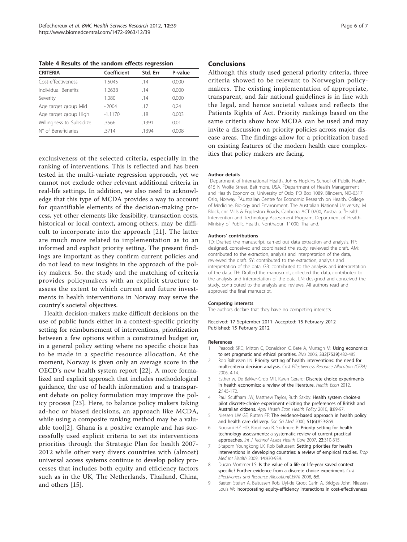<span id="page-5-0"></span>Table 4 Results of the random effects regression

| <b>CRITERIA</b>          | Coefficient | Std. Err | P-value |
|--------------------------|-------------|----------|---------|
| Cost-effectiveness       | 1.5045      | .14      | 0.000   |
| Individual Benefits      | 1.2638      | .14      | 0.000   |
| Severity                 | 1.080       | .14      | 0.000   |
| Age target group Mid     | $-2004$     | .17      | 0.24    |
| Age target group High    | $-1.1170$   | .18      | 0.003   |
| Willingness to Subsidize | .3566       | .1391    | 0.01    |
| N° of Beneficiaries      | .3714       | .1394    | 0.008   |

exclusiveness of the selected criteria, especially in the ranking of interventions. This is reflected and has been tested in the multi-variate regression approach, yet we cannot not exclude other relevant additional criteria in real-life settings. In addition, we also need to acknowledge that this type of MCDA provides a way to account for quantifiable elements of the decision-making process, yet other elements like feasibility, transaction costs, historical or local context, among others, may be difficult to incorporate into the approach [[21\]](#page-6-0). The latter are much more related to implementation as to an informed and explicit priority setting. The present findings are important as they confirm current policies and do not lead to new insights in the approach of the policy makers. So, the study and the matching of criteria provides policymakers with an explicit structure to assess the extent to which current and future investments in health interventions in Norway may serve the country's societal objectives.

Health decision-makers make difficult decisions on the use of public funds either in a context-specific priority setting for reimbursement of interventions, prioritization between a few options within a constrained budget or, in a general policy setting where no specific choice has to be made in a specific resource allocation. At the moment, Norway is given only an average score in the OECD's new health system report [[22\]](#page-6-0). A more formalized and explicit approach that includes methodological guidance, the use of health information and a transparent debate on policy formulation may improve the policy process [[23](#page-6-0)]. Here, to balance policy makers taking ad-hoc or biased decisions, an approach like MCDA, while using a composite ranking method may be a valuable tool[2]. Ghana is a positive example and has successfully used explicit criteria to set its interventions priorities through the Strategic Plan for health 2007- 2012 while other very divers countries with (almost) universal access systems continue to develop policy processes that includes both equity and efficiency factors such as in the UK, The Netherlands, Thailand, China, and others [[15](#page-6-0)].

#### Conclusions

Although this study used general priority criteria, three criteria showed to be relevant to Norwegian policymakers. The existing implementation of appropriate, transparent, and fair national guidelines is in line with the legal, and hence societal values and reflects the Patients Rights of Act. Priority rankings based on the same criteria show how MCDA can be used and may invite a discussion on priority policies across major disease areas. The findings allow for a prioritization based on existing features of the modern health care complexities that policy makers are facing.

#### Author details

<sup>1</sup>Department of International Health, Johns Hopkins School of Public Health 615 N Wolfe Street, Baltimore, USA. <sup>2</sup>Department of Health Management and Health Economics, University of Oslo, PO Box 1089, Blindern, NO-0317 Oslo, Norway. <sup>3</sup>Australian Centre for Economic Research on Health, College of Medicine, Biology and Environment, The Australian National University, M Block, cnr Mills & Eggleston Roads, Canberra ACT 0200, Australia. <sup>4</sup>Health Intervention and Technology Assessment Program, Department of Health, Ministry of Public Health, Nonthaburi 11000, Thailand.

#### Authors' contributions

TD: Drafted the manuscript, carried out data extraction and analysis. FP: designed, conceived and coordinated the study, reviewed the draft. AM: contributed to the extraction, analysis and interpretation of the data, reviewed the draft. SY: contributed to the extraction, analysis and interpretation of the data. GB: contributed to the analysis and interpretation of the data. TH: Drafted the manuscript, collected the data, contributed to the analysis and interpretation of the data. LN: designed and conceived the study, contributed to the analysis and reviews. All authors read and approved the final manuscript.

#### Competing interests

The authors declare that they have no competing interests.

Received: 17 September 2011 Accepted: 15 February 2012 Published: 15 February 2012

#### References

- Peacock SRD, Mitton C, Donaldson C, Bate A, Murtagh M: [Using economics](http://www.ncbi.nlm.nih.gov/pubmed/16497768?dopt=Abstract) [to set pragmatic and ethical priorities.](http://www.ncbi.nlm.nih.gov/pubmed/16497768?dopt=Abstract) BMJ 2006, 332(7539):482-485.
- Rob Baltussen LN: Priority setting of health interventions: the need for multi-criteria decision analysis. Cost Effectiveness Resource Allocation (CERA) 2006, 4:14.
- Esther w, De Bakker-Grob MR, Karen Gerard: Discrete choice experiments in health economics: a review of the literature. Health Econ 2012, 2:145-172.
- 4. Paul Scuffham JW, Matthew Taylor, Ruth Saxby: [Health system choice-a](http://www.ncbi.nlm.nih.gov/pubmed/20175588?dopt=Abstract) [pilot discrete-choice experiment eliciting the preferences of British and](http://www.ncbi.nlm.nih.gov/pubmed/20175588?dopt=Abstract) [Australian citizens.](http://www.ncbi.nlm.nih.gov/pubmed/20175588?dopt=Abstract) Appl Health Econ Health Policy 2010, 8:89-97.
- Niessen LW GE, Rutten FF: [The evidence-based approach in health policy](http://www.ncbi.nlm.nih.gov/pubmed/10972430?dopt=Abstract) [and health care delivery.](http://www.ncbi.nlm.nih.gov/pubmed/10972430?dopt=Abstract) Soc Sci Med 2000, 51(6):859-869.
- 6. Noorani HZ HD, Boudreau R, Skidmore B: [Priority setting for health](http://www.ncbi.nlm.nih.gov/pubmed/17579932?dopt=Abstract) [technology assessments: a systematic review of current practical](http://www.ncbi.nlm.nih.gov/pubmed/17579932?dopt=Abstract) [approaches.](http://www.ncbi.nlm.nih.gov/pubmed/17579932?dopt=Abstract) Int J Technol Assess Health Care 2007, 23:310-315.
- 7. Sitaporn Youngkong LK, Rob Baltussen: [Setting priorities for health](http://www.ncbi.nlm.nih.gov/pubmed/19563479?dopt=Abstract) [interventions in developing countries: a review of empirical studies.](http://www.ncbi.nlm.nih.gov/pubmed/19563479?dopt=Abstract) Trop Med Int Health 2009, 14:930-939.
- 8. Ducan Mortimer LS: Is the value of a life or life-year saved context specific? Further evidence from a discrete choice experiment. Cost Effectiveness and Resource Allocation(CERA) 2008, 6:8.
- 9. Baeten Stefan A, Baltussen Rob, Uyl-de Groot Carin A, Bridges John, Niessen Louis W: [Incorporating equity-efficiency interactions in cost-effectiveness](http://www.ncbi.nlm.nih.gov/pubmed/20384980?dopt=Abstract)